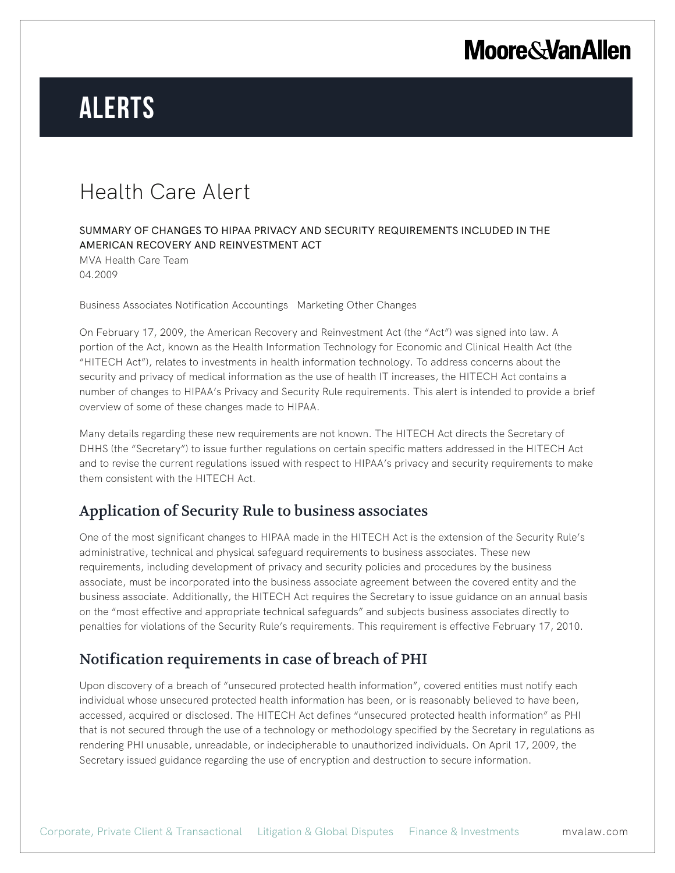## **Moore & Van Allen**

# **Alerts**

## Health Care Alert

#### SUMMARY OF CHANGES TO HIPAA PRIVACY AND SECURITY REQUIREMENTS INCLUDED IN THE AMERICAN RECOVERY AND REINVESTMENT ACT

MVA Health Care Team 04.2009

Business Associates Notification Accountings Marketing Other Changes

On February 17, 2009, the American Recovery and Reinvestment Act (the "Act") was signed into law. A portion of the Act, known as the Health Information Technology for Economic and Clinical Health Act (the "HITECH Act"), relates to investments in health information technology. To address concerns about the security and privacy of medical information as the use of health IT increases, the HITECH Act contains a number of changes to HIPAA's Privacy and Security Rule requirements. This alert is intended to provide a brief overview of some of these changes made to HIPAA.

Many details regarding these new requirements are not known. The HITECH Act directs the Secretary of DHHS (the "Secretary") to issue further regulations on certain specific matters addressed in the HITECH Act and to revise the current regulations issued with respect to HIPAA's privacy and security requirements to make them consistent with the HITECH Act.

### Application of Security Rule to business associates

One of the most significant changes to HIPAA made in the HITECH Act is the extension of the Security Rule's administrative, technical and physical safeguard requirements to business associates. These new requirements, including development of privacy and security policies and procedures by the business associate, must be incorporated into the business associate agreement between the covered entity and the business associate. Additionally, the HITECH Act requires the Secretary to issue guidance on an annual basis on the "most effective and appropriate technical safeguards" and subjects business associates directly to penalties for violations of the Security Rule's requirements. This requirement is effective February 17, 2010.

### Notification requirements in case of breach of PHI

Upon discovery of a breach of "unsecured protected health information", covered entities must notify each individual whose unsecured protected health information has been, or is reasonably believed to have been, accessed, acquired or disclosed. The HITECH Act defines "unsecured protected health information" as PHI that is not secured through the use of a technology or methodology specified by the Secretary in regulations as rendering PHI unusable, unreadable, or indecipherable to unauthorized individuals. On April 17, 2009, the Secretary issued guidance regarding the use of encryption and destruction to secure information.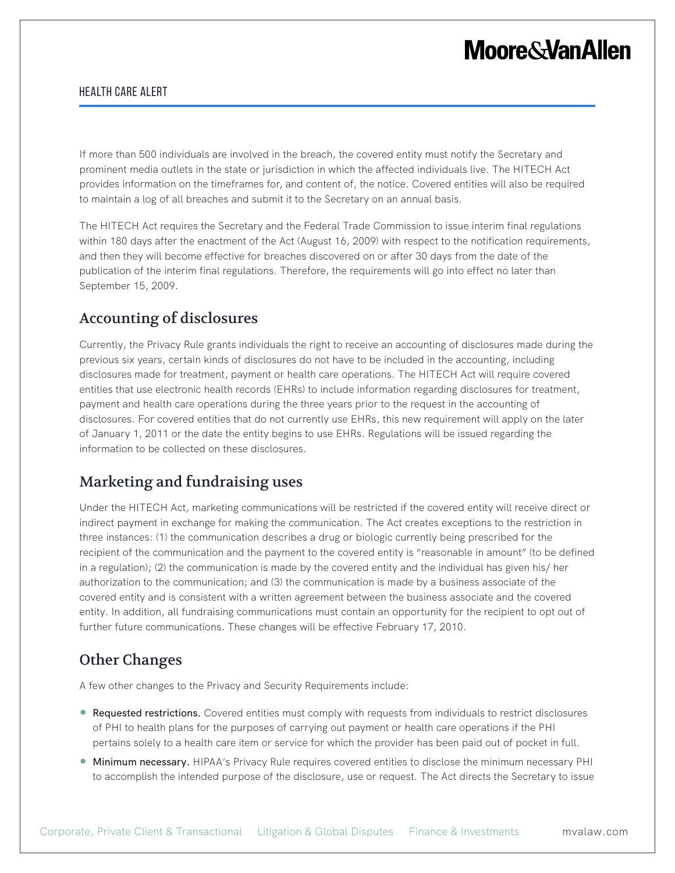## **Moore&VanAllen**

#### Health Care Alert

If more than 500 individuals are involved in the breach, the covered entity must notify the Secretary and prominent media outlets in the state or jurisdiction in which the affected individuals live. The HITECH Act provides information on the timeframes for, and content of, the notice. Covered entities will also be required to maintain a log of all breaches and submit it to the Secretary on an annual basis.

The HITECH Act requires the Secretary and the Federal Trade Commission to issue interim final regulations within 180 days after the enactment of the Act (August 16, 2009) with respect to the notification requirements, and then they will become effective for breaches discovered on or after 30 days from the date of the publication of the interim final regulations. Therefore, the requirements will go into effect no later than September 15, 2009.

### Accounting of disclosures

Currently, the Privacy Rule grants individuals the right to receive an accounting of disclosures made during the previous six years, certain kinds of disclosures do not have to be included in the accounting, including disclosures made for treatment, payment or health care operations. The HITECH Act will require covered entities that use electronic health records (EHRs) to include information regarding disclosures for treatment, payment and health care operations during the three years prior to the request in the accounting of disclosures. For covered entities that do not currently use EHRs, this new requirement will apply on the later of January 1, 2011 or the date the entity begins to use EHRs. Regulations will be issued regarding the information to be collected on these disclosures.

### Marketing and fundraising uses

Under the HITECH Act, marketing communications will be restricted if the covered entity will receive direct or indirect payment in exchange for making the communication. The Act creates exceptions to the restriction in three instances: (1) the communication describes a drug or biologic currently being prescribed for the recipient of the communication and the payment to the covered entity is "reasonable in amount" (to be defined in a regulation); (2) the communication is made by the covered entity and the individual has given his/ her authorization to the communication; and (3) the communication is made by a business associate of the covered entity and is consistent with a written agreement between the business associate and the covered entity. In addition, all fundraising communications must contain an opportunity for the recipient to opt out of further future communications. These changes will be effective February 17, 2010.

## Other Changes

A few other changes to the Privacy and Security Requirements include:

- Requested restrictions. Covered entities must comply with requests from individuals to restrict disclosures of PHI to health plans for the purposes of carrying out payment or health care operations if the PHI pertains solely to a health care item or service for which the provider has been paid out of pocket in full.
- **Minimum necessary.** HIPAA's Privacy Rule requires covered entities to disclose the minimum necessary PHI to accomplish the intended purpose of the disclosure, use or request. The Act directs the Secretary to issue